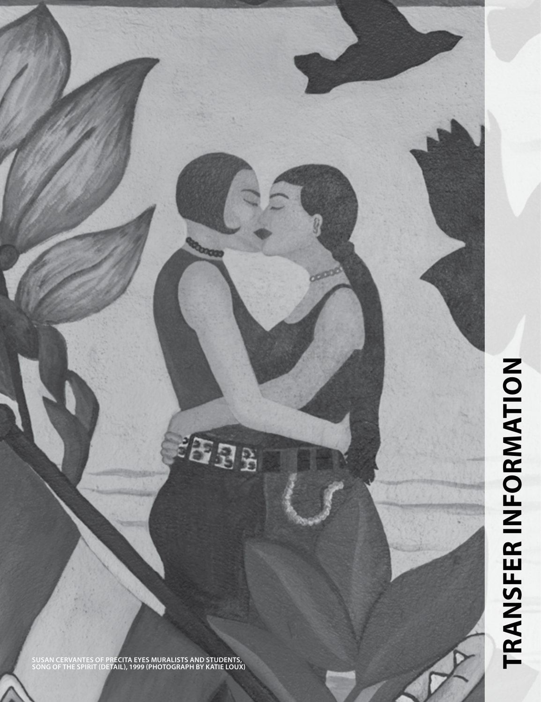**SUSAN CERVANTES OF PRECITA EYES MURALISTS AND STUDENTS, SONG OF THE SPIRIT (DETAIL), 1999 (PHOTOGRAPH BY KATIE LOUX)**

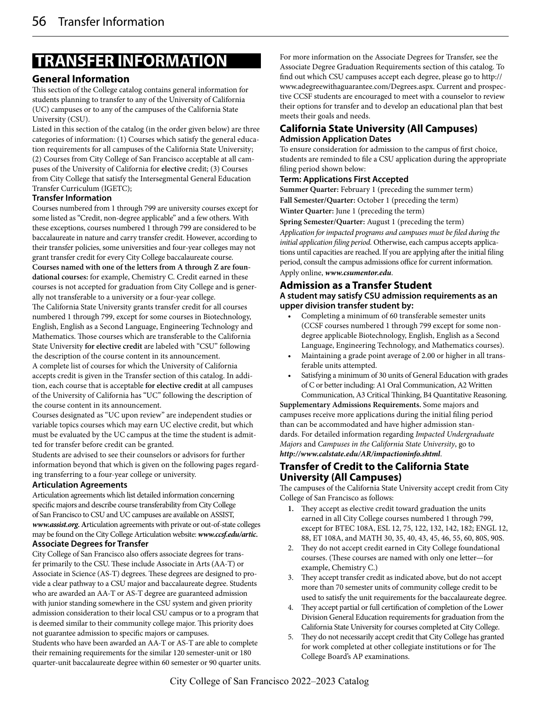# **TRANSFER INFORMATION**

# **General Information**

This section of the College catalog contains general information for students planning to transfer to any of the University of California (UC) campuses or to any of the campuses of the California State University (CSU).

Listed in this section of the catalog (in the order given below) are three categories of information: (1) Courses which satisfy the general education requirements for all campuses of the California State University; (2) Courses from City College of San Francisco acceptable at all campuses of the University of California for **elective** credit; (3) Courses from City College that satisfy the Intersegmental General Education Transfer Curriculum (IGETC);

#### **Transfer Information**

Courses numbered from 1 through 799 are university courses except for some listed as "Credit, non-degree applicable" and a few others. With these exceptions, courses numbered 1 through 799 are considered to be baccalaureate in nature and carry transfer credit. However, according to their transfer policies, some universities and four-year colleges may not grant transfer credit for every City College baccalaureate course.

**Courses named with one of the letters from A through Z are foundational courses:** for example, Chemistry C. Credit earned in these courses is not accepted for graduation from City College and is generally not transferable to a university or a four-year college.

The California State University grants transfer credit for all courses numbered 1 through 799, except for some courses in Biotechnology, English, English as a Second Language, Engineering Technology and Mathematics. Those courses which are transferable to the California State University **for elective credit** are labeled with "CSU" following the description of the course content in its announcement.

A complete list of courses for which the University of California accepts credit is given in the Transfer section of this catalog. In addition, each course that is acceptable **for elective credit** at all campuses of the University of California has "UC" following the description of the course content in its announcement.

Courses designated as "UC upon review" are independent studies or variable topics courses which may earn UC elective credit, but which must be evaluated by the UC campus at the time the student is admitted for transfer before credit can be granted.

Students are advised to see their counselors or advisors for further information beyond that which is given on the following pages regarding transferring to a four-year college or university.

#### **Articulation Agreements**

Articulation agreements which list detailed information concerning specific majors and describe course transferability from City College of San Francisco to CSU and UC campuses are available on ASSIST, *www.assist.org***. A**rticulation agreements with private or out-of-state colleges may be found on the City College Articulation website:*www.ccsf.edu/artic***.**

# **Associate Degrees for Transfer**

City College of San Francisco also offers associate degrees for transfer primarily to the CSU. These include Associate in Arts (AA-T) or Associate in Science (AS-T) degrees. These degrees are designed to provide a clear pathway to a CSU major and baccalaureate degree. Students who are awarded an AA-T or AS-T degree are guaranteed admission with junior standing somewhere in the CSU system and given priority admission consideration to their local CSU campus or to a program that is deemed similar to their community college major. This priority does not guarantee admission to specific majors or campuses.

Students who have been awarded an AA-T or AS-T are able to complete their remaining requirements for the similar 120 semester-unit or 180 quarter-unit baccalaureate degree within 60 semester or 90 quarter units. For more information on the Associate Degrees for Transfer, see the Associate Degree Graduation Requirements section of this catalog. To find out which CSU campuses accept each degree, please go to http:// www.adegreewithaguarantee.com/Degrees.aspx. Current and prospective CCSF students are encouraged to meet with a counselor to review their options for transfer and to develop an educational plan that best meets their goals and needs.

#### **California State University (All Campuses) Admission Application Dates**

To ensure consideration for admission to the campus of first choice, students are reminded to file a CSU application during the appropriate filing period shown below:

#### **Term: Applications First Accepted**

**Summer Quarter:** February 1 (preceding the summer term) **Fall Semester/Quarter:** October 1 (preceding the term)

**Winter Quarter:** June 1 (preceding the term)

**Spring Semester/Quarter:** August 1 (preceding the term) *Application for impacted programs and campuses must be filed during the initial application filing period.* Otherwise, each campus accepts applications until capacities are reached. If you are applying after the initial filing period, consult the campus admissions office for current information. Apply online, *www.csumentor.edu*.

**Admission as a Transfer Student A student may satisfy CSU admission requirements as an upper division transfer student by:**

- Completing a minimum of 60 transferable semester units (CCSF courses numbered 1 through 799 except for some nondegree applicable Biotechnology, English, English as a Second Language, Engineering Technology, and Mathematics courses).
- Maintaining a grade point average of 2.00 or higher in all transferable units attempted.
- Satisfying a minimum of 30 units of General Education with grades of C or better including: A1 Oral Communication, A2 Written Communication, A3 Critical Thinking, B4 Quantitative Reasoning.

**Supplementary Admissions Requirements.** Some majors and campuses receive more applications during the initial filing period than can be accommodated and have higher admission standards. For detailed information regarding *Impacted Undergraduate Majors* and *Campuses in the California State University*, go to *http://www.calstate.edu/AR/impactioninfo.shtml*.

# **Transfer of Credit to the California State University (All Campuses)**

The campuses of the California State University accept credit from City College of San Francisco as follows:

- **1.** They accept as elective credit toward graduation the units earned in all City College courses numbered 1 through 799, except for BTEC 108A, ESL 12, 75, 122, 132, 142, 182; ENGL 12, 88, ET 108A, and MATH 30, 35, 40, 43, 45, 46, 55, 60, 80S, 90S.
- 2. They do not accept credit earned in City College foundational courses. (These courses are named with only one letter—for example, Chemistry C.)
- They accept transfer credit as indicated above, but do not accept more than 70 semester units of community college credit to be used to satisfy the unit requirements for the baccalaureate degree.
- 4. They accept partial or full certification of completion of the Lower Division General Education requirements for graduation from the California State University for courses completed at City College.
- 5. They do not necessarily accept credit that City College has granted for work completed at other collegiate institutions or for The College Board's AP examinations.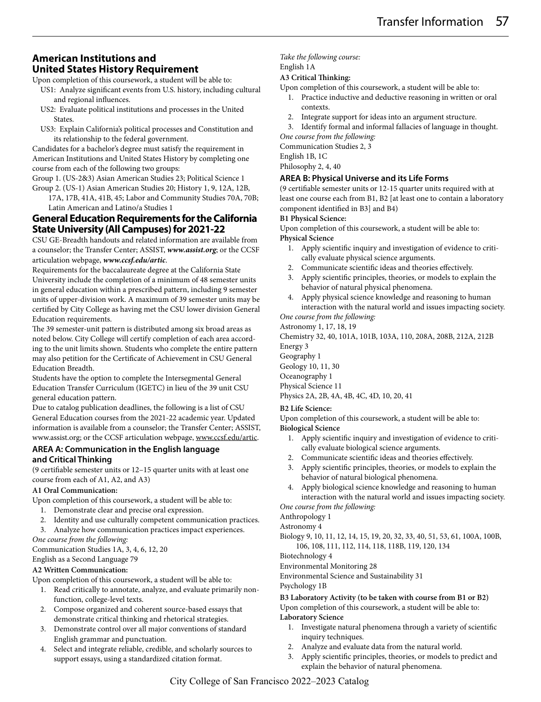# **American Institutions and United States History Requirement**

Upon completion of this coursework, a student will be able to:

- US1: Analyze significant events from U.S. history, including cultural and regional influences.
- US2: Evaluate political institutions and processes in the United States.
- US3: Explain California's political processes and Constitution and its relationship to the federal government.
- Candidates for a bachelor's degree must satisfy the requirement in American Institutions and United States History by completing one course from each of the following two groups:

Group 1. (US-2&3) Asian American Studies 23; Political Science 1 Group 2. (US-1) Asian American Studies 20; History 1, 9, 12A, 12B,

17A, 17B, 41A, 41B, 45; Labor and Community Studies 70A, 70B; Latin American and Latino/a Studies 1

# **General Education Requirements for the California State University (All Campuses) for 2021-22**

CSU GE-Breadth handouts and related information are available from a counselor; the Transfer Center; ASSIST, *www.assist.org*; or the CCSF articulation webpage, *www.ccsf.edu/artic*.

Requirements for the baccalaureate degree at the California State University include the completion of a minimum of 48 semester units in general education within a prescribed pattern, including 9 semester units of upper-division work. A maximum of 39 semester units may be certified by City College as having met the CSU lower division General Education requirements.

The 39 semester-unit pattern is distributed among six broad areas as noted below. City College will certify completion of each area according to the unit limits shown. Students who complete the entire pattern may also petition for the Certificate of Achievement in CSU General Education Breadth.

Students have the option to complete the Intersegmental General Education Transfer Curriculum (IGETC) in lieu of the 39 unit CSU general education pattern.

Due to catalog publication deadlines, the following is a list of CSU General Education courses from the 2021-22 academic year. Updated information is available from a counselor; the Transfer Center; ASSIST, www.assist.org; or the CCSF articulation webpage, www.ccsf.edu/artic.

### **AREA A: Communication in the English language and Critical Thinking**

(9 certifiable semester units or 12–15 quarter units with at least one course from each of A1, A2, and A3)

### **A1 Oral Communication:**

Upon completion of this coursework, a student will be able to:

- 1. Demonstrate clear and precise oral expression.
- 2. Identity and use culturally competent communication practices.<br>3. Analyze how communication practices impact experiences.
- Analyze how communication practices impact experiences.

#### *One course from the following:*

Communication Studies 1A, 3, 4, 6, 12, 20

English as a Second Language 79

#### **A2 Written Communication:**

Upon completion of this coursework, a student will be able to:

- 1. Read critically to annotate, analyze, and evaluate primarily nonfunction, college-level texts.
- 2. Compose organized and coherent source-based essays that demonstrate critical thinking and rhetorical strategies.
- 3. Demonstrate control over all major conventions of standard English grammar and punctuation.
- 4. Select and integrate reliable, credible, and scholarly sources to support essays, using a standardized citation format.

#### *Take the following course:*

English 1A

#### **A3 Critical Thinking:**

Upon completion of this coursework, a student will be able to:

- 1. Practice inductive and deductive reasoning in written or oral contexts.
- 2. Integrate support for ideas into an argument structure.
- 3. Identify formal and informal fallacies of language in thought. *One course from the following:*

Communication Studies 2, 3

English 1B, 1C

Philosophy 2, 4, 40

#### **AREA B: Physical Universe and its Life Forms**

(9 certifiable semester units or 12-15 quarter units required with at least one course each from B1, B2 [at least one to contain a laboratory component identified in B3] and B4)

#### **B1 Physical Science:**

Upon completion of this coursework, a student will be able to: **Physical Science**

- 1. Apply scientific inquiry and investigation of evidence to critically evaluate physical science arguments.
- 2. Communicate scientific ideas and theories effectively.
- 3. Apply scientific principles, theories, or models to explain the behavior of natural physical phenomena.
- 4. Apply physical science knowledge and reasoning to human interaction with the natural world and issues impacting society. *One course from the following:*

Astronomy 1, 17, 18, 19

Chemistry 32, 40, 101A, 101B, 103A, 110, 208A, 208B, 212A, 212B Energy 3

Geography 1

Geology 10, 11, 30

Oceanography 1

Physical Science 11

Physics 2A, 2B, 4A, 4B, 4C, 4D, 10, 20, 41

#### **B2 Life Science:**

Upon completion of this coursework, a student will be able to: **Biological Science**

- 1. Apply scientific inquiry and investigation of evidence to critically evaluate biological science arguments.
- Communicate scientific ideas and theories effectively.
- 3. Apply scientific principles, theories, or models to explain the behavior of natural biological phenomena.
- 4. Apply biological science knowledge and reasoning to human interaction with the natural world and issues impacting society.

*One course from the following:*

Anthropology 1

Astronomy 4

Biology 9, 10, 11, 12, 14, 15, 19, 20, 32, 33, 40, 51, 53, 61, 100A, 100B, 106, 108, 111, 112, 114, 118, 118B, 119, 120, 134

Biotechnology 4

Environmental Monitoring 28

Environmental Science and Sustainability 31

#### Psychology 1B

**B3 Laboratory Activity (to be taken with course from B1 or B2)**

Upon completion of this coursework, a student will be able to: **Laboratory Science**

- 1. Investigate natural phenomena through a variety of scientific inquiry techniques.
- 2. Analyze and evaluate data from the natural world.
- 3. Apply scientific principles, theories, or models to predict and explain the behavior of natural phenomena.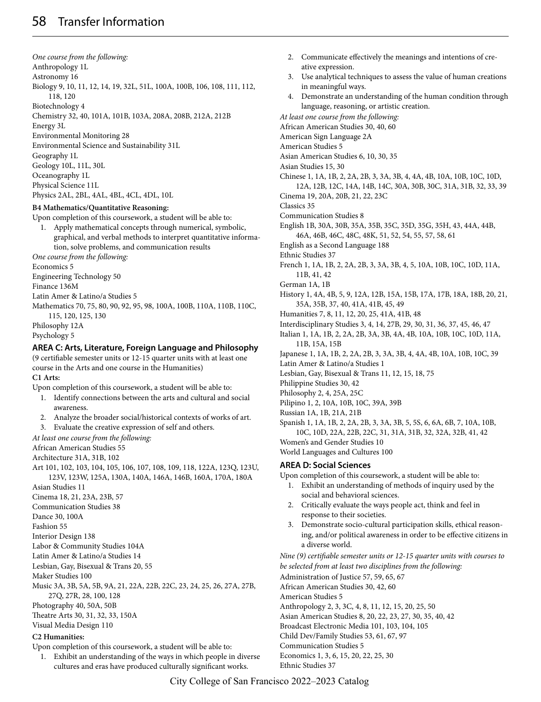*One course from the following:* Anthropology 1L Astronomy 16 Biology 9, 10, 11, 12, 14, 19, 32L, 51L, 100A, 100B, 106, 108, 111, 112, 118, 120 Biotechnology 4 Chemistry 32, 40, 101A, 101B, 103A, 208A, 208B, 212A, 212B Energy 3L Environmental Monitoring 28 Environmental Science and Sustainability 31L Geography 1L Geology 10L, 11L, 30L Oceanography 1L Physical Science 11L Physics 2AL, 2BL, 4AL, 4BL, 4CL, 4DL, 10L

### **B4 Mathematics/Quantitative Reasoning:**

Upon completion of this coursework, a student will be able to:

1. Apply mathematical concepts through numerical, symbolic, graphical, and verbal methods to interpret quantitative information, solve problems, and communication results

*One course from the following:*

Economics 5

Engineering Technology 50

Finance 136M

Latin Amer & Latino/a Studies 5

Mathematics 70, 75, 80, 90, 92, 95, 98, 100A, 100B, 110A, 110B, 110C, 115, 120, 125, 130

Philosophy 12A

Psychology 5

#### **AREA C: Arts, Literature, Foreign Language and Philosophy**

(9 certifiable semester units or 12-15 quarter units with at least one course in the Arts and one course in the Humanities) **C1 Arts:**

Upon completion of this coursework, a student will be able to:

- 1. Identify connections between the arts and cultural and social awareness.
- 2. Analyze the broader social/historical contexts of works of art.
- 3. Evaluate the creative expression of self and others.

*At least one course from the following:*

African American Studies 55

Architecture 31A, 31B, 102

- Art 101, 102, 103, 104, 105, 106, 107, 108, 109, 118, 122A, 123Q, 123U, 123V, 123W, 125A, 130A, 140A, 146A, 146B, 160A, 170A, 180A
- Asian Studies 11
- Cinema 18, 21, 23A, 23B, 57
- Communication Studies 38

Dance 30, 100A

Fashion 55

Interior Design 138

Labor & Community Studies 104A

Latin Amer & Latino/a Studies 14

Lesbian, Gay, Bisexual & Trans 20, 55

Maker Studies 100

Music 3A, 3B, 5A, 5B, 9A, 21, 22A, 22B, 22C, 23, 24, 25, 26, 27A, 27B, 27Q, 27R, 28, 100, 128

Photography 40, 50A, 50B

Theatre Arts 30, 31, 32, 33, 150A

Visual Media Design 110

#### **C2 Humanities:**

Upon completion of this coursework, a student will be able to:

1. Exhibit an understanding of the ways in which people in diverse cultures and eras have produced culturally significant works.

- 2. Communicate effectively the meanings and intentions of creative expression. 3. Use analytical techniques to assess the value of human creations in meaningful ways. 4. Demonstrate an understanding of the human condition through language, reasoning, or artistic creation. *At least one course from the following:* African American Studies 30, 40, 60 American Sign Language 2A American Studies 5 Asian American Studies 6, 10, 30, 35 Asian Studies 15, 30 Chinese 1, 1A, 1B, 2, 2A, 2B, 3, 3A, 3B, 4, 4A, 4B, 10A, 10B, 10C, 10D, 12A, 12B, 12C, 14A, 14B, 14C, 30A, 30B, 30C, 31A, 31B, 32, 33, 39 Cinema 19, 20A, 20B, 21, 22, 23C Classics 35 Communication Studies 8 English 1B, 30A, 30B, 35A, 35B, 35C, 35D, 35G, 35H, 43, 44A, 44B, 46A, 46B, 46C, 48C, 48K, 51, 52, 54, 55, 57, 58, 61 English as a Second Language 188 Ethnic Studies 37 French 1, 1A, 1B, 2, 2A, 2B, 3, 3A, 3B, 4, 5, 10A, 10B, 10C, 10D, 11A, 11B, 41, 42 German 1A, 1B History 1, 4A, 4B, 5, 9, 12A, 12B, 15A, 15B, 17A, 17B, 18A, 18B, 20, 21, 35A, 35B, 37, 40, 41A, 41B, 45, 49 Humanities 7, 8, 11, 12, 20, 25, 41A, 41B, 48 Interdisciplinary Studies 3, 4, 14, 27B, 29, 30, 31, 36, 37, 45, 46, 47 Italian 1, 1A, 1B, 2, 2A, 2B, 3A, 3B, 4A, 4B, 10A, 10B, 10C, 10D, 11A, 11B, 15A, 15B Japanese 1, 1A, 1B, 2, 2A, 2B, 3, 3A, 3B, 4, 4A, 4B, 10A, 10B, 10C, 39 Latin Amer & Latino/a Studies 1 Lesbian, Gay, Bisexual & Trans 11, 12, 15, 18, 75 Philippine Studies 30, 42 Philosophy 2, 4, 25A, 25C Pilipino 1, 2, 10A, 10B, 10C, 39A, 39B Russian 1A, 1B, 21A, 21B Spanish 1, 1A, 1B, 2, 2A, 2B, 3, 3A, 3B, 5, 5S, 6, 6A, 6B, 7, 10A, 10B, 10C, 10D, 22A, 22B, 22C, 31, 31A, 31B, 32, 32A, 32B, 41, 42 Women's and Gender Studies 10 World Languages and Cultures 100 **AREA D: Social Sciences** Upon completion of this coursework, a student will be able to: 1. Exhibit an understanding of methods of inquiry used by the social and behavioral sciences. 2. Critically evaluate the ways people act, think and feel in response to their societies.
	- 3. Demonstrate socio-cultural participation skills, ethical reasoning, and/or political awareness in order to be effective citizens in a diverse world.

*Nine (9) certifiable semester units or 12-15 quarter units with courses to be selected from at least two disciplines from the following:* Administration of Justice 57, 59, 65, 67 African American Studies 30, 42, 60 American Studies 5 Anthropology 2, 3, 3C, 4, 8, 11, 12, 15, 20, 25, 50 Asian American Studies 8, 20, 22, 23, 27, 30, 35, 40, 42 Broadcast Electronic Media 101, 103, 104, 105 Child Dev/Family Studies 53, 61, 67, 97 Communication Studies 5 Economics 1, 3, 6, 15, 20, 22, 25, 30 Ethnic Studies 37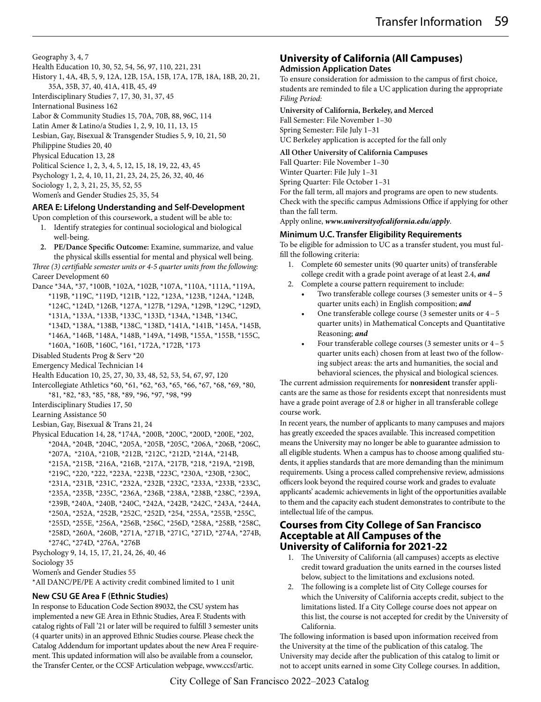Geography 3, 4, 7

Health Education 10, 30, 52, 54, 56, 97, 110, 221, 231

History 1, 4A, 4B, 5, 9, 12A, 12B, 15A, 15B, 17A, 17B, 18A, 18B, 20, 21, 35A, 35B, 37, 40, 41A, 41B, 45, 49 Interdisciplinary Studies 7, 17, 30, 31, 37, 45

International Business 162

Labor & Community Studies 15, 70A, 70B, 88, 96C, 114

Latin Amer & Latino/a Studies 1, 2, 9, 10, 11, 13, 15

Lesbian, Gay, Bisexual & Transgender Studies 5, 9, 10, 21, 50

Philippine Studies 20, 40

Physical Education 13, 28

Political Science 1, 2, 3, 4, 5, 12, 15, 18, 19, 22, 43, 45 Psychology 1, 2, 4, 10, 11, 21, 23, 24, 25, 26, 32, 40, 46

Sociology 1, 2, 3, 21, 25, 35, 52, 55

Women's and Gender Studies 25, 35, 54

# **AREA E: Lifelong Understanding and Self-Development**

- Upon completion of this coursework, a student will be able to: 1. Identify strategies for continual sociological and biological well-being.
- **2. PE/Dance Specific Outcome:** Examine, summarize, and value the physical skills essential for mental and physical well being. *Three (3) certifiable semester units or 4-5 quarter units from the following:* Career Development 60
- Dance \*34A, \*37, \*100B, \*102A, \*102B, \*107A, \*110A, \*111A, \*119A, \*119B, \*119C, \*119D, \*121B, \*122, \*123A, \*123B, \*124A, \*124B,
	- \*124C, \*124D, \*126B, \*127A, \*127B, \*129A, \*129B, \*129C, \*129D,
	- \*131A, \*133A, \*133B, \*133C, \*133D, \*134A, \*134B, \*134C,
	- \*134D, \*138A, \*138B, \*138C, \*138D, \*141A, \*141B, \*145A, \*145B,
	- \*146A, \*146B, \*148A, \*148B, \*149A, \*149B, \*155A, \*155B, \*155C,
	- \*160A, \*160B, \*160C, \*161, \*172A, \*172B, \*173
- Disabled Students Prog & Serv \*20
- Emergency Medical Technician 14
- Health Education 10, 25, 27, 30, 33, 48, 52, 53, 54, 67, 97, 120
- Intercollegiate Athletics \*60, \*61, \*62, \*63, \*65, \*66, \*67, \*68, \*69, \*80, \*81, \*82, \*83, \*85, \*88, \*89, \*96, \*97, \*98, \*99
- Interdisciplinary Studies 17, 50
- Learning Assistance 50
- Lesbian, Gay, Bisexual & Trans 21, 24
- Physical Education 14, 28, \*174A, \*200B, \*200C, \*200D, \*200E, \*202, \*204A, \*204B, \*204C, \*205A, \*205B, \*205C, \*206A, \*206B, \*206C, \*207A, \*210A, \*210B, \*212B, \*212C, \*212D, \*214A, \*214B, \*215A, \*215B, \*216A, \*216B, \*217A, \*217B, \*218, \*219A, \*219B, \*219C, \*220, \*222, \*223A, \*223B, \*223C, \*230A, \*230B, \*230C, \*231A, \*231B, \*231C, \*232A, \*232B, \*232C, \*233A, \*233B, \*233C, \*235A, \*235B, \*235C, \*236A, \*236B, \*238A, \*238B, \*238C, \*239A, \*239B, \*240A, \*240B, \*240C, \*242A, \*242B, \*242C, \*243A, \*244A, \*250A, \*252A, \*252B, \*252C, \*252D, \*254, \*255A, \*255B, \*255C, \*255D, \*255E, \*256A, \*256B, \*256C, \*256D, \*258A, \*258B, \*258C, \*258D, \*260A, \*260B, \*271A, \*271B, \*271C, \*271D, \*274A, \*274B, \*274C, \*274D, \*276A, \*276B
- Psychology 9, 14, 15, 17, 21, 24, 26, 40, 46 Sociology 35
- Women's and Gender Studies 55

\*All DANC/PE/PE A activity credit combined limited to 1 unit

### **New CSU GE Area F (Ethnic Studies)**

In response to Education Code Section 89032, the CSU system has implemented a new GE Area in Ethnic Studies, Area F. Students with catalog rights of Fall '21 or later will be required to fulfill 3 semester units (4 quarter units) in an approved Ethnic Studies course. Please check the Catalog Addendum for important updates about the new Area F requirement. This updated information will also be available from a counselor, the Transfer Center, or the CCSF Articulation webpage, www.ccsf/artic.

# **University of California (All Campuses)**

# **Admission Application Dates**

To ensure consideration for admission to the campus of first choice, students are reminded to file a UC application during the appropriate *Filing Period:*

**University of California, Berkeley, and Merced** Fall Semester: File November 1–30 Spring Semester: File July 1–31 UC Berkeley application is accepted for the fall only

### **All Other University of California Campuses**

Fall Quarter: File November 1–30 Winter Quarter: File July 1–31 Spring Quarter: File October 1–31 For the fall term, all majors and programs are open to new students.

Check with the specific campus Admissions Office if applying for other than the fall term.

Apply online, *www.universityofcalifornia.edu/apply*.

# **Minimum U.C. Transfer Eligibility Requirements**

To be eligible for admission to UC as a transfer student, you must fulfill the following criteria:

- 1. Complete 60 semester units (90 quarter units) of transferable college credit with a grade point average of at least 2.4, *and*
- 2. Complete a course pattern requirement to include:
	- Two transferable college courses (3 semester units or  $4-5$ quarter units each) in English composition; *and*
	- One transferable college course (3 semester units or  $4-5$ quarter units) in Mathematical Concepts and Quantitative Reasoning; *and*
	- Four transferable college courses (3 semester units or  $4-5$ quarter units each) chosen from at least two of the following subject areas: the arts and humanities, the social and behavioral sciences, the physical and biological sciences.

The current admission requirements for **nonresident** transfer applicants are the same as those for residents except that nonresidents must have a grade point average of 2.8 or higher in all transferable college course work.

In recent years, the number of applicants to many campuses and majors has greatly exceeded the spaces available. This increased competition means the University may no longer be able to guarantee admission to all eligible students. When a campus has to choose among qualified students, it applies standards that are more demanding than the minimum requirements. Using a process called comprehensive review, admissions officers look beyond the required course work and grades to evaluate applicants' academic achievements in light of the opportunities available to them and the capacity each student demonstrates to contribute to the intellectual life of the campus.

# **Courses from City College of San Francisco Acceptable at All Campuses of the University of California for 2021-22**

- 1. The University of California (all campuses) accepts as elective credit toward graduation the units earned in the courses listed below, subject to the limitations and exclusions noted.
- The following is a complete list of City College courses for which the University of California accepts credit, subject to the limitations listed. If a City College course does not appear on this list, the course is not accepted for credit by the University of California.

The following information is based upon information received from the University at the time of the publication of this catalog. The University may decide after the publication of this catalog to limit or not to accept units earned in some City College courses. In addition,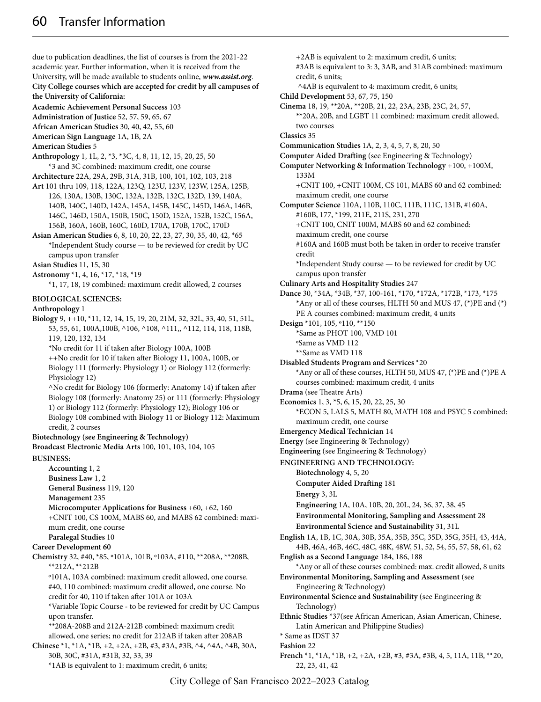due to publication deadlines, the list of courses is from the 2021-22 academic year. Further information, when it is received from the University, will be made available to students online, *www.assist.org*. **City College courses which are accepted for credit by all campuses of the University of California:**

**Academic Achievement Personal Success** 103

**Administration of Justice** 52, 57, 59, 65, 67

**African American Studies** 30, 40, 42, 55, 60

**American Sign Language** 1A, 1B, 2A

**American Studies** 5

- **Anthropology** 1, 1L, 2, \*3, \*3C, 4, 8, 11, 12, 15, 20, 25, 50 \*3 and 3C combined: maximum credit, one course
- **Architecture** 22A, 29A, 29B, 31A, 31B, 100, 101, 102, 103, 218
- **Art** 101 thru 109, 118, 122A, 123Q, 123U, 123V, 123W, 125A, 125B, 126, 130A, 130B, 130C, 132A, 132B, 132C, 132D, 139, 140A, 140B, 140C, 140D, 142A, 145A, 145B, 145C, 145D, 146A, 146B, 146C, 146D, 150A, 150B, 150C, 150D, 152A, 152B, 152C, 156A, 156B, 160A, 160B, 160C, 160D, 170A, 170B, 170C, 170D
- **Asian American Studies** 6, 8, 10, 20, 22, 23, 27, 30, 35, 40, 42, \*65 \*Independent Study course — to be reviewed for credit by UC campus upon transfer
- **Asian Studies** 11, 15, 30
- **Astronomy** \*1, 4, 16, \*17, \*18, \*19

\*1, 17, 18, 19 combined: maximum credit allowed, 2 courses

#### **BIOLOGICAL SCIENCES:**

#### **Anthropology** 1

**Biology** 9, ++10, \*11, 12, 14, 15, 19, 20, 21M, 32, 32L, 33, 40, 51, 51L, 53, 55, 61, 100A,100B, ^106, ^108, ^111,, ^112, 114, 118, 118B, 119, 120, 132, 134 \*No credit for 11 if taken after Biology 100A, 100B ++No credit for 10 if taken after Biology 11, 100A, 100B, or Biology 111 (formerly: Physiology 1) or Biology 112 (formerly: Physiology 12) ^No credit for Biology 106 (formerly: Anatomy 14) if taken after Biology 108 (formerly: Anatomy 25) or 111 (formerly: Physiology

1) or Biology 112 (formerly: Physiology 12); Biology 106 or Biology 108 combined with Biology 11 or Biology 112: Maximum credit, 2 courses

**Biotechnology (see Engineering & Technology)**

**Broadcast Electronic Media Arts** 100, 101, 103, 104, 105 **BUSINESS:**

**Accounting** 1, 2 **Business Law** 1, 2 **General Business** 119, 120 **Management** 235

**Microcomputer Applications for Business** +60, +62, 160 +CNIT 100, CS 100M, MABS 60, and MABS 62 combined: maximum credit, one course **Paralegal Studies** 10

# **Career Development 60**

**Chemistry** 32, #40, \*85, º101A, 101B, º103A, #110, \*\*208A, \*\*208B, \*\*212A, \*\*212B º101A, 103A combined: maximum credit allowed, one course.

#40, 110 combined: maximum credit allowed, one course. No credit for 40, 110 if taken after 101A or 103A

\*Variable Topic Course - to be reviewed for credit by UC Campus upon transfer.

\*\*208A-208B and 212A-212B combined: maximum credit allowed, one series; no credit for 212AB if taken after 208AB **Chinese** \*1, \*1A, \*1B, +2, +2A, +2B, #3, #3A, #3B, ^4, ^4A, ^4B, 30A,

30B, 30C, #31A, #31B, 32, 33, 39 \*1AB is equivalent to 1: maximum credit, 6 units;

\*\*20A, 20B, and LGBT 11 combined: maximum credit allowed, two courses **Classics** 35 **Communication Studies** 1A, 2, 3, 4, 5, 7, 8, 20, 50 **Computer Aided Drafting** (see Engineering & Technology) **Computer Networking & Information Technology** +100, +100M, 133M +CNIT 100, +CNIT 100M, CS 101, MABS 60 and 62 combined: maximum credit, one course **Computer Science** 110A, 110B, 110C, 111B, 111C, 131B, #160A, #160B, 177, \*199, 211E, 211S, 231, 270 +CNIT 100, CNIT 100M, MABS 60 and 62 combined: maximum credit, one course #160A and 160B must both be taken in order to receive transfer credit \*Independent Study course — to be reviewed for credit by UC campus upon transfer **Culinary Arts and Hospitality Studies** 247 **Dance** 30, \*34A, \*34B, \*37, 100-161, \*170, \*172A, \*172B, \*173, \*175 \*Any or all of these courses, HLTH 50 and MUS 47, (\*)PE and (\*) PE A courses combined: maximum credit, 4 units **Design** \*101, 105, º110, \*\*150 \*Same as PHOT 100, VMD 101 ºSame as VMD 112 \*\*Same as VMD 118 **Disabled Students Program and Services** \*20 \*Any or all of these courses, HLTH 50, MUS 47,  $(*)$ PE and  $(*)$ PE A courses combined: maximum credit, 4 units **Drama** (see Theatre Arts) **Economics** 1, 3, \*5, 6, 15, 20, 22, 25, 30 \*ECON 5, LALS 5, MATH 80, MATH 108 and PSYC 5 combined: maximum credit, one course **Emergency Medical Technician** 14 **Energy** (see Engineering & Technology) **Engineering** (see Engineering & Technology) **ENGINEERING AND TECHNOLOGY: Biotechnology** 4, 5, 20 **Computer Aided Drafting** 181 **Energy** 3, 3L **Engineering** 1A, 10A, 10B, 20, 20L, 24, 36, 37, 38, 45 **Environmental Monitoring, Sampling and Assessment** 28 **Environmental Science and Sustainability** 31, 31L **English** 1A, 1B, 1C, 30A, 30B, 35A, 35B, 35C, 35D, 35G, 35H, 43, 44A, 44B, 46A, 46B, 46C, 48C, 48K, 48W, 51, 52, 54, 55, 57, 58, 61, 62 **English as a Second Language** 184, 186, 188 \*Any or all of these courses combined: max. credit allowed, 8 units **Environmental Monitoring, Sampling and Assessment** (see Engineering & Technology) **Environmental Science and Sustainability** (see Engineering & Technology) **Ethnic Studies** \*37(see African American, Asian American, Chinese, Latin American and Philippine Studies) \* Same as IDST 37 **Fashion** 22 **French** \*1, \*1A, \*1B, +2, +2A, +2B, #3, #3A, #3B, 4, 5, 11A, 11B, \*\*20,

+2AB is equivalent to 2: maximum credit, 6 units;

^4AB is equivalent to 4: maximum credit, 6 units;

**Cinema** 18, 19, \*\*20A, \*\*20B, 21, 22, 23A, 23B, 23C, 24, 57,

credit, 6 units;

**Child Development** 53, 67, 75, 150

#3AB is equivalent to 3: 3, 3AB, and 31AB combined: maximum

22, 23, 41, 42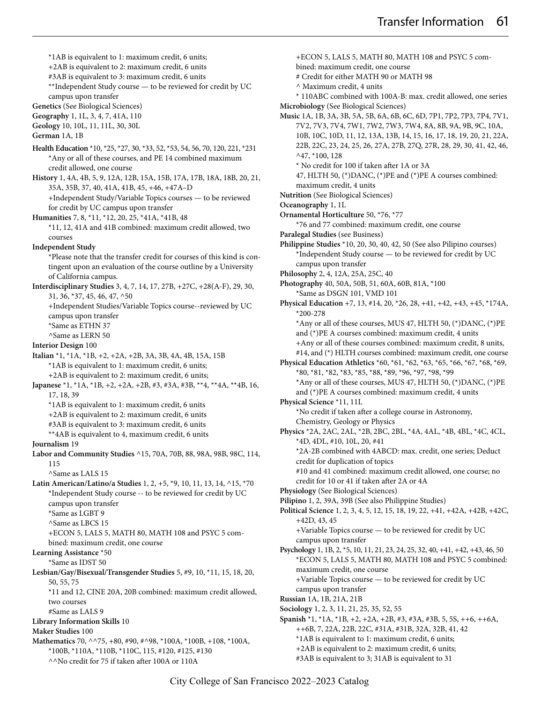\*1AB is equivalent to 1: maximum credit, 6 units; +2AB is equivalent to 2: maximum credit, 6 units #3AB is equivalent to 3: maximum credit, 6 units \*\*Independent Study course — to be reviewed for credit by UC campus upon transfer **Genetics** (See Biological Sciences) **Geography** 1, 1L, 3, 4, 7, 41A, 110 **Geology** 10, 10L, 11, 11L, 30, 30L **German** 1A, 1B **Health Education** \*10, \*25, \*27, 30, \*33, 52, \*53, 54, 56, 70, 120, 221, \*231 \*Any or all of these courses, and PE 14 combined maximum credit allowed, one course **History** 1, 4A, 4B, 5, 9, 12A, 12B, 15A, 15B, 17A, 17B, 18A, 18B, 20, 21, 35A, 35B, 37, 40, 41A, 41B, 45, +46, +47A–D +Independent Study/Variable Topics courses — to be reviewed for credit by UC campus upon transfer **Humanities** 7, 8, \*11, \*12, 20, 25, \*41A, \*41B, 48 \*11, 12, 41A and 41B combined: maximum credit allowed, two courses **Independent Study** \*Please note that the transfer credit for courses of this kind is contingent upon an evaluation of the course outline by a University of California campus. **Interdisciplinary Studies** 3, 4, 7, 14, 17, 27B, +27C, +28(A-F), 29, 30, 31, 36, \*37, 45, 46, 47, ^50 +Independent Studies/Variable Topics course--reviewed by UC campus upon transfer \*Same as ETHN 37 ^Same as LERN 50 **Interior Design** 100 **Italian** \*1, \*1A, \*1B, +2, +2A, +2B, 3A, 3B, 4A, 4B, 15A, 15B \*1AB is equivalent to 1: maximum credit, 6 units; +2AB is equivalent to 2: maximum credit, 6 units; **Japanese** \*1, \*1A, \*1B, +2, +2A, +2B, #3, #3A, #3B, \*\*4, \*\*4A, \*\*4B, 16, 17, 18, 39 \*1AB is equivalent to 1: maximum credit, 6 units +2AB is equivalent to 2: maximum credit, 6 units #3AB is equivalent to 3: maximum credit, 6 units \*\*4AB is equivalent to 4, maximum credit, 6 units **Journalism** 19 **Labor and Community Studies** ^15, 70A, 70B, 88, 98A, 98B, 98C, 114, 115 ^Same as LALS 15 **Latin American/Latino/a Studies** 1, 2, +5, \*9, 10, 11, 13, 14, ^15, \*70 \*Independent Study course -- to be reviewed for credit by UC campus upon transfer \*Same as LGBT 9 ^Same as LBCS 15 +ECON 5, LALS 5, MATH 80, MATH 108 and PSYC 5 combined: maximum credit, one course **Learning Assistance** \*50 \*Same as IDST 50 **Lesbian/Gay/Bisexual/Transgender Studies** 5, #9, 10, \*11, 15, 18, 20, 50, 55, 75 \*11 and 12, CINE 20A, 20B combined: maximum credit allowed, two courses #Same as LALS 9 **Library Information Skills** 10 **Maker Studies** 100

**Mathematics** 70, ^^75, +80, #90, #^98, \*100A, \*100B, +108, \*100A, \*100B, \*110A, \*110B, \*110C, 115, #120, #125, #130 ^^No credit for 75 if taken after 100A or 110A

+ECON 5, LALS 5, MATH 80, MATH 108 and PSYC 5 combined: maximum credit, one course # Credit for either MATH 90 or MATH 98 ^ Maximum credit, 4 units \* 110ABC combined with 100A-B: max. credit allowed, one series **Microbiology** (See Biological Sciences) **Music** 1A, 1B, 3A, 3B, 5A, 5B, 6A, 6B, 6C, 6D, 7P1, 7P2, 7P3, 7P4, 7V1, 7V2, 7V3, 7V4, 7W1, 7W2, 7W3, 7W4, 8A, 8B, 9A, 9B, 9C, 10A, 10B, 10C, 10D, 11, 12, 13A, 13B, 14, 15, 16, 17, 18, 19, 20, 21, 22A, 22B, 22C, 23, 24, 25, 26, 27A, 27B, 27Q, 27R, 28, 29, 30, 41, 42, 46, ^47, \*100, 128 \* No credit for 100 if taken after 1A or 3A 47, HLTH 50, (\*)DANC, (\*)PE and (\*)PE A courses combined: maximum credit, 4 units **Nutrition** (See Biological Sciences) **Oceanography** 1, 1L **Ornamental Horticulture** 50, \*76, \*77 \*76 and 77 combined: maximum credit, one course **Paralegal Studies** (see Business) **Philippine Studies** \*10, 20, 30, 40, 42, 50 (See also Pilipino courses) \*Independent Study course — to be reviewed for credit by UC campus upon transfer **Philosophy** 2, 4, 12A, 25A, 25C, 40 **Photography** 40, 50A, 50B, 51, 60A, 60B, 81A, \*100 \*Same as DSGN 101, VMD 101 **Physical Education** +7, 13, #14, 20, \*26, 28, +41, +42, +43, +45, \*174A, \*200-278 \*Any or all of these courses, MUS 47, HLTH 50, (\*)DANC, (\*)PE and (\*)PE A courses combined: maximum credit, 4 units +Any or all of these courses combined: maximum credit, 8 units, #14, and (\*) HLTH courses combined: maximum credit, one course **Physical Education Athletics** \*60, \*61, \*62, \*63, \*65, \*66, \*67, \*68, \*69, \*80, \*81, \*82, \*83, \*85, \*88, \*89, \*96, \*97, \*98, \*99 \*Any or all of these courses, MUS 47, HLTH 50, (\*)DANC, (\*)PE and (\*)PE A courses combined: maximum credit, 4 units **Physical Science** \*11, 11L \*No credit if taken after a college course in Astronomy, Chemistry, Geology or Physics **Physics** \*2A, 2AC, 2AL, \*2B, 2BC, 2BL, \*4A, 4AL, \*4B, 4BL, \*4C, 4CL, \*4D, 4DL, #10, 10L, 20, #41 \*2A-2B combined with 4ABCD: max. credit, one series; Deduct credit for duplication of topics #10 and 41 combined: maximum credit allowed, one course; no credit for 10 or 41 if taken after 2A or 4A **Physiology** (See Biological Sciences) **Pilipino** 1, 2, 39A, 39B (See also Philippine Studies) **Political Science** 1, 2, 3, 4, 5, 12, 15, 18, 19, 22, +41, +42A, +42B, +42C, +42D, 43, 45 +Variable Topics course — to be reviewed for credit by UC campus upon transfer **Psychology** 1, 1B, 2, \*5, 10, 11, 21, 23, 24, 25, 32, 40, +41, +42, +43, 46, 50 \*ECON 5, LALS 5, MATH 80, MATH 108 and PSYC 5 combined: maximum credit, one course +Variable Topics course — to be reviewed for credit by UC campus upon transfer **Russian** 1A, 1B, 21A, 21B **Sociology** 1, 2, 3, 11, 21, 25, 35, 52, 55 **Spanish** \*1, \*1A, \*1B, +2, +2A, +2B, #3, #3A, #3B, 5, 5S, ++6, ++6A, ++6B, 7, 22A, 22B, 22C, #31A, #31B, 32A, 32B, 41, 42 \*1AB is equivalent to 1: maximum credit, 6 units; +2AB is equivalent to 2: maximum credit, 6 units;

#3AB is equivalent to 3; 31AB is equivalent to 31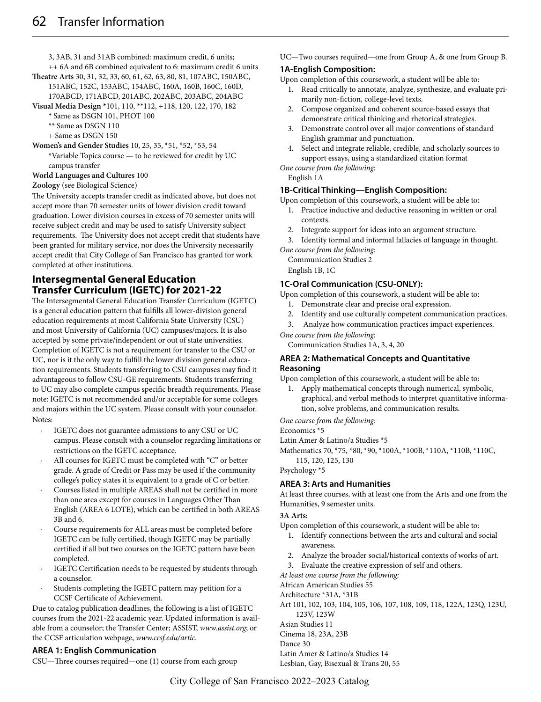3, 3AB, 31 and 31AB combined: maximum credit, 6 units; ++ 6A and 6B combined equivalent to 6: maximum credit 6 units

**Theatre Arts** 30, 31, 32, 33, 60, 61, 62, 63, 80, 81, 107ABC, 150ABC,

- 151ABC, 152C, 153ABC, 154ABC, 160A, 160B, 160C, 160D, 170ABCD, 171ABCD, 201ABC, 202ABC, 203ABC, 204ABC
- **Visual Media Design \***101, 110, \*\*112, +118, 120, 122, 170, 182
	- \* Same as DSGN 101, PHOT 100
	- \*\* Same as DSGN 110
	- + Same as DSGN 150

**Women's and Gender Studies** 10, 25, 35, \*51, \*52, \*53, 54

\*Variable Topics course — to be reviewed for credit by UC campus transfer

#### **World Languages and Cultures** 100

#### **Zoology** (see Biological Science)

The University accepts transfer credit as indicated above, but does not accept more than 70 semester units of lower division credit toward graduation. Lower division courses in excess of 70 semester units will receive subject credit and may be used to satisfy University subject requirements. The University does not accept credit that students have been granted for military service, nor does the University necessarily accept credit that City College of San Francisco has granted for work completed at other institutions.

# **Intersegmental General Education Transfer Curriculum (IGETC) for 2021-22**

The Intersegmental General Education Transfer Curriculum (IGETC) is a general education pattern that fulfills all lower-division general education requirements at most California State University (CSU) and most University of California (UC) campuses/majors. It is also accepted by some private/independent or out of state universities. Completion of IGETC is not a requirement for transfer to the CSU or UC, nor is it the only way to fulfill the lower division general education requirements. Students transferring to CSU campuses may find it advantageous to follow CSU-GE requirements. Students transferring to UC may also complete campus specific breadth requirements. Please note: IGETC is not recommended and/or acceptable for some colleges and majors within the UC system. Please consult with your counselor. Notes:

- IGETC does not guarantee admissions to any CSU or UC campus. Please consult with a counselor regarding limitations or restrictions on the IGETC acceptance.
- All courses for IGETC must be completed with "C" or better grade. A grade of Credit or Pass may be used if the community college's policy states it is equivalent to a grade of C or better.
- Courses listed in multiple AREAS shall not be certified in more than one area except for courses in Languages Other Than English (AREA 6 LOTE), which can be certified in both AREAS 3B and 6.
- Course requirements for ALL areas must be completed before IGETC can be fully certified, though IGETC may be partially certified if all but two courses on the IGETC pattern have been completed.
- IGETC Certification needs to be requested by students through a counselor.
- Students completing the IGETC pattern may petition for a CCSF Certificate of Achievement.

Due to catalog publication deadlines, the following is a list of IGETC courses from the 2021-22 academic year. Updated information is available from a counselor; the Transfer Center; ASSIST, *www.assist.org*; or the CCSF articulation webpage, *www.ccsf.edu/artic*.

### **AREA 1: English Communication**

CSU—Three courses required—one (1) course from each group

UC—Two courses required—one from Group A, & one from Group B.

# **1A-English Composition:**

Upon completion of this coursework, a student will be able to:

- 1. Read critically to annotate, analyze, synthesize, and evaluate primarily non-fiction, college-level texts.
- 2. Compose organized and coherent source-based essays that demonstrate critical thinking and rhetorical strategies.
- 3. Demonstrate control over all major conventions of standard English grammar and punctuation.
- 4. Select and integrate reliable, credible, and scholarly sources to support essays, using a standardized citation format

*One course from the following:*

English 1A

# **1B-Critical Thinking—English Composition:**

Upon completion of this coursework, a student will be able to: 1. Practice inductive and deductive reasoning in written or oral

- contexts.
- 2. Integrate support for ideas into an argument structure.
- 3. Identify formal and informal fallacies of language in thought. *One course from the following:*

Communication Studies 2

English 1B, 1C

# **1C-Oral Communication (CSU-ONLY):**

Upon completion of this coursework, a student will be able to:

- 1. Demonstrate clear and precise oral expression.
- 2. Identify and use culturally competent communication practices.
- 3. Analyze how communication practices impact experiences.
- *One course from the following:*

Communication Studies 1A, 3, 4, 20

# **AREA 2: Mathematical Concepts and Quantitative Reasoning**

Upon completion of this coursework, a student will be able to:

1. Apply mathematical concepts through numerical, symbolic, graphical, and verbal methods to interpret quantitative information, solve problems, and communication results.

*One course from the following:*

Economics \*5

Latin Amer & Latino/a Studies \*5

Mathematics 70, \*75, \*80, \*90, \*100A, \*100B, \*110A, \*110B, \*110C, 115, 120, 125, 130

Psychology \*5

# **AREA 3: Arts and Humanities**

At least three courses, with at least one from the Arts and one from the Humanities, 9 semester units.

### **3A Arts:**

Upon completion of this coursework, a student will be able to:

- 1. Identify connections between the arts and cultural and social awareness.
- 2. Analyze the broader social/historical contexts of works of art.
- 3. Evaluate the creative expression of self and others.

*At least one course from the following:*

African American Studies 55

- Architecture \*31A, \*31B
- Art 101, 102, 103, 104, 105, 106, 107, 108, 109, 118, 122A, 123Q, 123U, 123V, 123W

Asian Studies 11

Cinema 18, 23A, 23B

Dance 30

Latin Amer & Latino/a Studies 14

Lesbian, Gay, Bisexual & Trans 20, 55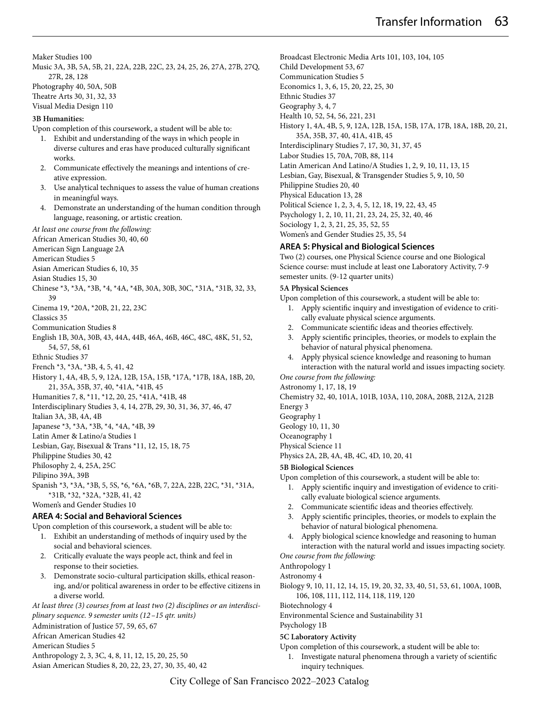Maker Studies 100

- Music 3A, 3B, 5A, 5B, 21, 22A, 22B, 22C, 23, 24, 25, 26, 27A, 27B, 27Q, 27R, 28, 128 Photography 40, 50A, 50B Theatre Arts 30, 31, 32, 33
- Visual Media Design 110

#### **3B Humanities:**

Upon completion of this coursework, a student will be able to:

- 1. Exhibit and understanding of the ways in which people in diverse cultures and eras have produced culturally significant works.
- 2. Communicate effectively the meanings and intentions of creative expression.
- 3. Use analytical techniques to assess the value of human creations in meaningful ways.
- Demonstrate an understanding of the human condition through language, reasoning, or artistic creation.

*At least one course from the following:*

African American Studies 30, 40, 60

- American Sign Language 2A
- American Studies 5
- Asian American Studies 6, 10, 35
- Asian Studies 15, 30
- Chinese \*3, \*3A, \*3B, \*4, \*4A, \*4B, 30A, 30B, 30C, \*31A, \*31B, 32, 33, 39
- Cinema 19, \*20A, \*20B, 21, 22, 23C
- Classics 35
- Communication Studies 8
- English 1B, 30A, 30B, 43, 44A, 44B, 46A, 46B, 46C, 48C, 48K, 51, 52, 54, 57, 58, 61
- Ethnic Studies 37
- French \*3, \*3A, \*3B, 4, 5, 41, 42
- History 1, 4A, 4B, 5, 9, 12A, 12B, 15A, 15B, \*17A, \*17B, 18A, 18B, 20, 21, 35A, 35B, 37, 40, \*41A, \*41B, 45

Humanities 7, 8, \*11, \*12, 20, 25, \*41A, \*41B, 48

- Interdisciplinary Studies 3, 4, 14, 27B, 29, 30, 31, 36, 37, 46, 47
- Italian 3A, 3B, 4A, 4B
- Japanese \*3, \*3A, \*3B, \*4, \*4A, \*4B, 39
- Latin Amer & Latino/a Studies 1
- Lesbian, Gay, Bisexual & Trans \*11, 12, 15, 18, 75
- Philippine Studies 30, 42
- Philosophy 2, 4, 25A, 25C
- Pilipino 39A, 39B

Spanish \*3, \*3A, \*3B, 5, 5S, \*6, \*6A, \*6B, 7, 22A, 22B, 22C, \*31, \*31A, \*31B, \*32, \*32A, \*32B, 41, 42

Women's and Gender Studies 10

### **AREA 4: Social and Behavioral Sciences**

Upon completion of this coursework, a student will be able to:

- 1. Exhibit an understanding of methods of inquiry used by the social and behavioral sciences.
- 2. Critically evaluate the ways people act, think and feel in response to their societies.
- 3. Demonstrate socio-cultural participation skills, ethical reasoning, and/or political awareness in order to be effective citizens in a diverse world.

*At least three (3) courses from at least two (2) disciplines or an interdisciplinary sequence. 9 semester units (12 –15 qtr. units)* 

Administration of Justice 57, 59, 65, 67

African American Studies 42

American Studies 5

- Anthropology 2, 3, 3C, 4, 8, 11, 12, 15, 20, 25, 50
- Asian American Studies 8, 20, 22, 23, 27, 30, 35, 40, 42

Broadcast Electronic Media Arts 101, 103, 104, 105 Child Development 53, 67 Communication Studies 5 Economics 1, 3, 6, 15, 20, 22, 25, 30 Ethnic Studies 37 Geography 3, 4, 7 Health 10, 52, 54, 56, 221, 231 History 1, 4A, 4B, 5, 9, 12A, 12B, 15A, 15B, 17A, 17B, 18A, 18B, 20, 21, 35A, 35B, 37, 40, 41A, 41B, 45 Interdisciplinary Studies 7, 17, 30, 31, 37, 45 Labor Studies 15, 70A, 70B, 88, 114 Latin American And Latino/A Studies 1, 2, 9, 10, 11, 13, 15 Lesbian, Gay, Bisexual, & Transgender Studies 5, 9, 10, 50 Philippine Studies 20, 40 Physical Education 13, 28 Political Science 1, 2, 3, 4, 5, 12, 18, 19, 22, 43, 45 Psychology 1, 2, 10, 11, 21, 23, 24, 25, 32, 40, 46 Sociology 1, 2, 3, 21, 25, 35, 52, 55

Women's and Gender Studies 25, 35, 54

### **AREA 5: Physical and Biological Sciences**

Two (2) courses, one Physical Science course and one Biological Science course: must include at least one Laboratory Activity, 7-9 semester units. (9-12 quarter units)

#### **5A Physical Sciences**

Upon completion of this coursework, a student will be able to:

- 1. Apply scientific inquiry and investigation of evidence to critically evaluate physical science arguments.
- 2. Communicate scientific ideas and theories effectively.
- 3. Apply scientific principles, theories, or models to explain the behavior of natural physical phenomena.
- 4. Apply physical science knowledge and reasoning to human interaction with the natural world and issues impacting society.

*One course from the following:*

Astronomy 1, 17, 18, 19

Chemistry 32, 40, 101A, 101B, 103A, 110, 208A, 208B, 212A, 212B

Energy 3

Geography 1

Geology 10, 11, 30

Oceanography 1 Physical Science 11

Physics 2A, 2B, 4A, 4B, 4C, 4D, 10, 20, 41

#### **5B Biological Sciences**

- Upon completion of this coursework, a student will be able to:
	- 1. Apply scientific inquiry and investigation of evidence to critically evaluate biological science arguments.
	- 2. Communicate scientific ideas and theories effectively.
	- 3. Apply scientific principles, theories, or models to explain the behavior of natural biological phenomena.
	- 4. Apply biological science knowledge and reasoning to human interaction with the natural world and issues impacting society.

*One course from the following:*

# Anthropology 1

Astronomy 4

Biology 9, 10, 11, 12, 14, 15, 19, 20, 32, 33, 40, 51, 53, 61, 100A, 100B, 106, 108, 111, 112, 114, 118, 119, 120

Biotechnology 4

Environmental Science and Sustainability 31

# Psychology 1B

# **5C Laboratory Activity**

- Upon completion of this coursework, a student will be able to:
	- 1. Investigate natural phenomena through a variety of scientific inquiry techniques.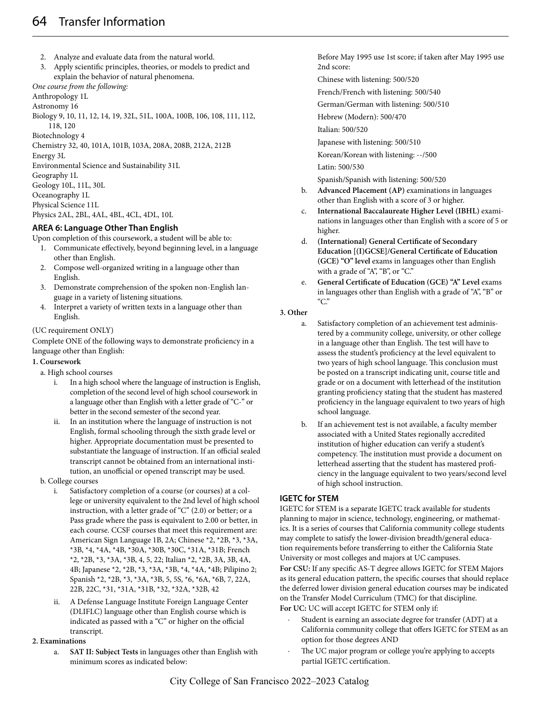- 2. Analyze and evaluate data from the natural world.
- 3. Apply scientific principles, theories, or models to predict and explain the behavior of natural phenomena.

### *One course from the following:*

Anthropology 1L

Astronomy 16

Biology 9, 10, 11, 12, 14, 19, 32L, 51L, 100A, 100B, 106, 108, 111, 112, 118, 120

Biotechnology 4

Chemistry 32, 40, 101A, 101B, 103A, 208A, 208B, 212A, 212B

Energy 3L

Environmental Science and Sustainability 31L

Geography 1L

Geology 10L, 11L, 30L

Oceanography 1L

Physical Science 11L

Physics 2AL, 2BL, 4AL, 4BL, 4CL, 4DL, 10L

# **AREA 6: Language Other Than English**

Upon completion of this coursework, a student will be able to:

- 1. Communicate effectively, beyond beginning level, in a language other than English.
- 2. Compose well-organized writing in a language other than English.
- 3. Demonstrate comprehension of the spoken non-English language in a variety of listening situations.
- 4. Interpret a variety of written texts in a language other than English.

### (UC requirement ONLY)

Complete ONE of the following ways to demonstrate proficiency in a language other than English:

### **1. Coursework**

a. High school courses

- i. In a high school where the language of instruction is English, completion of the second level of high school coursework in a language other than English with a letter grade of "C-" or better in the second semester of the second year.
- ii. In an institution where the language of instruction is not English, formal schooling through the sixth grade level or higher. Appropriate documentation must be presented to substantiate the language of instruction. If an official sealed transcript cannot be obtained from an international institution, an unofficial or opened transcript may be used.

### b. College courses

- i. Satisfactory completion of a course (or courses) at a college or university equivalent to the 2nd level of high school instruction, with a letter grade of "C" (2.0) or better; or a Pass grade where the pass is equivalent to 2.00 or better, in each course. CCSF courses that meet this requirement are: American Sign Language 1B, 2A; Chinese \*2, \*2B, \*3, \*3A, \*3B, \*4, \*4A, \*4B, \*30A, \*30B, \*30C, \*31A, \*31B; French \*2, \*2B, \*3, \*3A, \*3B, 4, 5, 22; Italian \*2, \*2B, 3A, 3B, 4A, 4B; Japanese \*2, \*2B, \*3, \*3A, \*3B, \*4, \*4A, \*4B; Pilipino 2; Spanish \*2, \*2B, \*3, \*3A, \*3B, 5, 5S, \*6, \*6A, \*6B, 7, 22A, 22B, 22C, \*31, \*31A, \*31B, \*32, \*32A, \*32B, 42
- ii. A Defense Language Institute Foreign Language Center (DLIFLC) language other than English course which is indicated as passed with a "C" or higher on the official transcript.

#### **2. Examinations**

a. **SAT II: Subject Tests** in languages other than English with minimum scores as indicated below:

Before May 1995 use 1st score; if taken after May 1995 use 2nd score:

- Chinese with listening: 500/520
- French/French with listening: 500/540

German/German with listening: 500/510

Hebrew (Modern): 500/470

Italian: 500/520

Japanese with listening: 500/510

Korean/Korean with listening: --/500

Latin: 500/530

Spanish/Spanish with listening: 500/520

- b. **Advanced Placement (AP)** examinations in languages other than English with a score of 3 or higher.
- c. **International Baccalaureate Higher Level (IBHL)** examinations in languages other than English with a score of 5 or higher.
- d. **(International) General Certificate of Secondary Education [(I)GCSE]/General Certificate of Education (GCE) "O" level** exams in languages other than English with a grade of "A", "B", or "C."
- e. **General Certificate of Education (GCE) "A" Level** exams in languages other than English with a grade of "A", "B" or "C."

### **3. Other**

- a. Satisfactory completion of an achievement test administered by a community college, university, or other college in a language other than English. The test will have to assess the student's proficiency at the level equivalent to two years of high school language. This conclusion must be posted on a transcript indicating unit, course title and grade or on a document with letterhead of the institution granting proficiency stating that the student has mastered proficiency in the language equivalent to two years of high school language.
- b. If an achievement test is not available, a faculty member associated with a United States regionally accredited institution of higher education can verify a student's competency. The institution must provide a document on letterhead asserting that the student has mastered proficiency in the language equivalent to two years/second level of high school instruction.

### **IGETC for STEM**

IGETC for STEM is a separate IGETC track available for students planning to major in science, technology, engineering, or mathematics. It is a series of courses that California community college students may complete to satisfy the lower-division breadth/general education requirements before transferring to either the California State University or most colleges and majors at UC campuses.

**For CSU:** If any specific AS-T degree allows IGETC for STEM Majors as its general education pattern, the specific courses that should replace the deferred lower division general education courses may be indicated on the Transfer Model Curriculum (TMC) for that discipline. **For UC:** UC will accept IGETC for STEM only if:

- Student is earning an associate degree for transfer (ADT) at a California community college that offers IGETC for STEM as an option for those degrees AND
- The UC major program or college you're applying to accepts partial IGETC certification.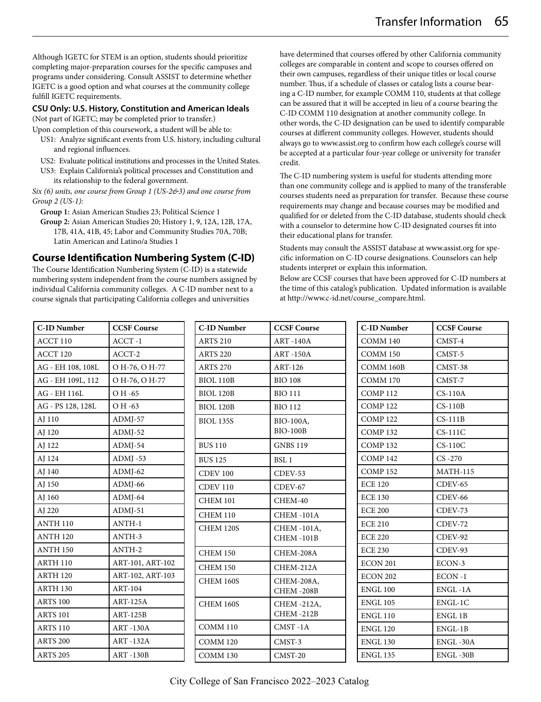Although IGETC for STEM is an option, students should prioritize completing major-preparation courses for the specific campuses and programs under considering. Consult ASSIST to determine whether IGETC is a good option and what courses at the community college fulfill IGETC requirements.

### **CSU Only: U.S. History, Constitution and American Ideals**

(Not part of IGETC; may be completed prior to transfer.)

- Upon completion of this coursework, a student will be able to:
- US1: Analyze significant events from U.S. history, including cultural and regional influences.
- US2: Evaluate political institutions and processes in the United States.
- US3: Explain California's political processes and Constitution and its relationship to the federal government.

*Six (6) units, one course from Group 1 (US-2&3) and one course from Group 2 (US-1):*

**Group 1:** Asian American Studies 23; Political Science 1

**Group 2:** Asian American Studies 20; History 1, 9, 12A, 12B, 17A, 17B, 41A, 41B, 45; Labor and Community Studies 70A, 70B; Latin American and Latino/a Studies 1

# **Course Identification Numbering System (C-ID)**

The Course Identification Numbering System (C-ID) is a statewide numbering system independent from the course numbers assigned by individual California community colleges. A C-ID number next to a course signals that participating California colleges and universities

have determined that courses offered by other California community colleges are comparable in content and scope to courses offered on their own campuses, regardless of their unique titles or local course number. Thus, if a schedule of classes or catalog lists a course bearing a C-ID number, for example COMM 110, students at that college can be assured that it will be accepted in lieu of a course bearing the C-ID COMM 110 designation at another community college. In other words, the C-ID designation can be used to identify comparable courses at different community colleges. However, students should always go to www.assist.org to confirm how each college's course will be accepted at a particular four-year college or university for transfer credit.

The C-ID numbering system is useful for students attending more than one community college and is applied to many of the transferable courses students need as preparation for transfer. Because these course requirements may change and because courses may be modified and qualified for or deleted from the C-ID database, students should check with a counselor to determine how C-ID designated courses fit into their educational plans for transfer.

Students may consult the ASSIST database at www.assist.org for specific information on C-ID course designations. Counselors can help students interpret or explain this information.

Below are CCSF courses that have been approved for C-ID numbers at the time of this catalog's publication. Updated information is available at http://www.c-id.net/course\_compare.html.

| <b>C-ID Number</b> | <b>CCSF Course</b> | <b>C-ID Number</b> | <b>CCSF Course</b>       | <b>C-ID Number</b>  | <b>CCSF Course</b> |
|--------------------|--------------------|--------------------|--------------------------|---------------------|--------------------|
| ACCT 110           | $ACCT -1$          | <b>ARTS 210</b>    | <b>ART-140A</b>          | COMM 140            | CMST-4             |
| ACCT 120           | ACCT-2             | <b>ARTS 220</b>    | <b>ART-150A</b>          | <b>COMM 150</b>     | CMST-5             |
| AG - EH 108, 108L  | O H-76, O H-77     | <b>ARTS 270</b>    | ART-126                  | COMM 160B           | CMST-38            |
| AG - EH 109L, 112  | O H-76, O H-77     | <b>BIOL 110B</b>   | <b>BIO 108</b>           | <b>COMM 170</b>     | CMST-7             |
| AG - EH 116L       | O H -65            | <b>BIOL 120B</b>   | <b>BIO 111</b>           | COMP <sub>112</sub> | $CS-110A$          |
| AG - PS 128, 128L  | O H -63            | <b>BIOL 120B</b>   | <b>BIO 112</b>           | <b>COMP122</b>      | $CS-110B$          |
| AJ 110             | $ADMI-57$          | <b>BIOL 135S</b>   | BIO-100A,                | <b>COMP122</b>      | $CS-111B$          |
| AJ 120             | $ADMI-52$          |                    | <b>BIO-100B</b>          | COMP <sub>132</sub> | $CS-111C$          |
| AJ 122             | ADMJ-54            | <b>BUS 110</b>     | <b>GNBS 119</b>          | COMP <sub>132</sub> | $CS-110C$          |
| AJ 124             | ADMJ-53            | <b>BUS 125</b>     | BSL <sub>1</sub>         | COMP <sub>142</sub> | $CS -270$          |
| AJ 140             | $ADMI-62$          | <b>CDEV 100</b>    | $C$ DEV-53               | <b>COMP152</b>      | <b>MATH-115</b>    |
| AJ 150             | $ADMI-66$          | <b>CDEV 110</b>    | $C$ DEV-67               | <b>ECE 120</b>      | $CDFV-65$          |
| AJ 160             | $ADMI-64$          | <b>CHEM 101</b>    | CHEM-40                  | <b>ECE 130</b>      | CDEV-66            |
| AJ 220             | $ADMI-51$          | <b>CHEM 110</b>    | CHEM-101A                | <b>ECE 200</b>      | CDEV-73            |
| <b>ANTH 110</b>    | ANTH-1             | <b>CHEM 120S</b>   | CHEM -101A,              | <b>ECE 210</b>      | CDEV-72            |
| <b>ANTH 120</b>    | ANTH-3             |                    | CHEM-101B                | <b>ECE 220</b>      | CDEV-92            |
| <b>ANTH 150</b>    | ANTH-2             | <b>CHEM 150</b>    | CHEM-208A                | <b>ECE 230</b>      | CDEV-93            |
| <b>ARTH 110</b>    | ART-101, ART-102   | <b>CHEM 150</b>    | CHEM-212A                | <b>ECON 201</b>     | ECON-3             |
| ARTH 120           | ART-102, ART-103   | <b>CHEM 160S</b>   | CHEM-208A,               | <b>ECON 202</b>     | $ECON -1$          |
| ARTH 130           | ART-104            |                    | CHEM-208B                | <b>ENGL 100</b>     | ENGL-1A            |
| <b>ARTS 100</b>    | $ART-125A$         | <b>CHEM 160S</b>   | CHEM -212A,<br>CHEM-212B | <b>ENGL 105</b>     | ENGL-1C            |
| <b>ARTS 101</b>    | <b>ART-125B</b>    |                    |                          | <b>ENGL 110</b>     | ENGL 1B            |
| <b>ARTS 110</b>    | <b>ART-130A</b>    | <b>COMM 110</b>    | CMST-1A                  | <b>ENGL 120</b>     | ENGL-1B            |
| <b>ARTS 200</b>    | <b>ART-132A</b>    | <b>COMM 120</b>    | CMST-3                   | <b>ENGL 130</b>     | ENGL-30A           |
| <b>ARTS 205</b>    | <b>ART-130B</b>    | <b>COMM 130</b>    | CMST-20                  | <b>ENGL 135</b>     | ENGL-30B           |